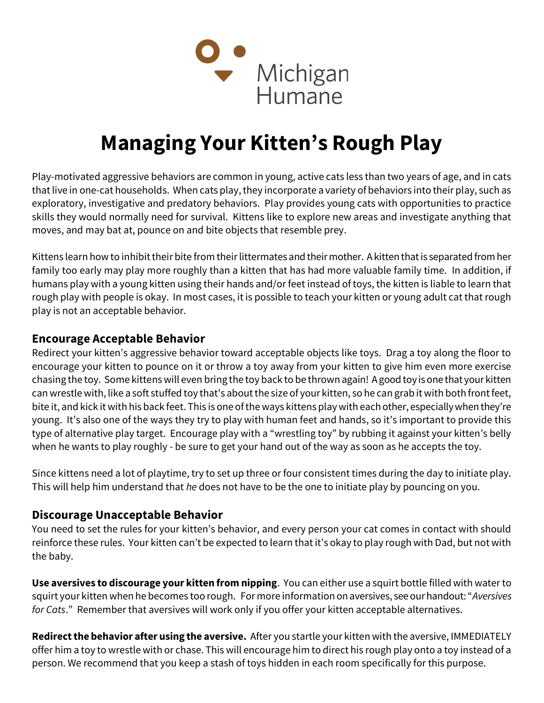

# Managing Your Kitten's Rough Play

Play-motivated aggressive behaviors are common in young, active cats less than two years of age, and in cats that live in one-cat households. When cats play, they incorporate a variety of behaviors into their play, such as exploratory, investigative and predatory behaviors. Play provides young cats with opportunities to practice skills they would normally need for survival. Kittens like to explore new areas and investigate anything that moves, and may bat at, pounce on and bite objects that resemble prey.

Kittens learn how to inhibit their bite from their littermates and their mother. A kitten that is separated from her family too early may play more roughly than a kitten that has had more valuable family time. In addition, if humans play with a young kitten using their hands and/or feet instead of toys, the kitten is liable to learn that rough play with people is okay. In most cases, it is possible to teach your kitten or young adult cat that rough play is not an acceptable behavior.

### Encourage Acceptable Behavior

Redirect your kitten's aggressive behavior toward acceptable objects like toys. Drag a toy along the floor to encourage your kitten to pounce on it or throw a toy away from your kitten to give him even more exercise chasing the toy. Some kittens will even bring the toy back to be thrown again! A good toy is one that your kitten can wrestle with, like a soft stuffed toy that's about the size of your kitten, so he can grab it with both front feet, bite it, and kick it with his back feet. This is one of the ways kittens play with each other, especially when they're young. It's also one of the ways they try to play with human feet and hands, so it's important to provide this type of alternative play target. Encourage play with a "wrestling toy" by rubbing it against your kitten's belly when he wants to play roughly - be sure to get your hand out of the way as soon as he accepts the toy.

Since kittens need a lot of playtime, try to set up three or four consistent times during the day to initiate play. This will help him understand that he does not have to be the one to initiate play by pouncing on you.

## Discourage Unacceptable Behavior

You need to set the rules for your kitten's behavior, and every person your cat comes in contact with should reinforce these rules. Your kitten can't be expected to learn that it's okay to play rough with Dad, but not with the baby.

Use aversives to discourage your kitten from nipping. You can either use a squirt bottle filled with water to squirt your kitten when he becomes too rough. For more information on aversives, see our handout: "Aversives for Cats." Remember that aversives will work only if you offer your kitten acceptable alternatives.

Redirect the behavior after using the aversive. After you startle your kitten with the aversive, IMMEDIATELY offer him a toy to wrestle with or chase. This will encourage him to direct his rough play onto a toy instead of a person. We recommend that you keep a stash of toys hidden in each room specifically for this purpose.